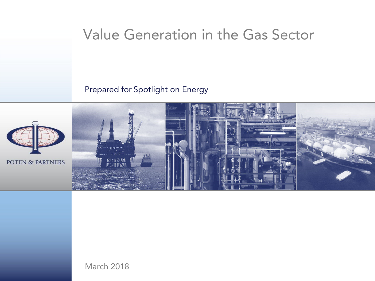## Value Generation in the Gas Sector

#### Prepared for Spotlight on Energy



March 2018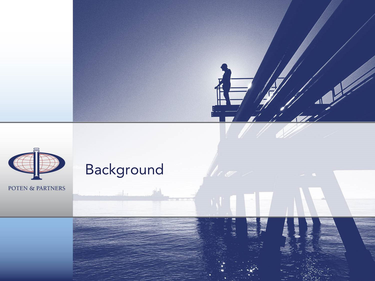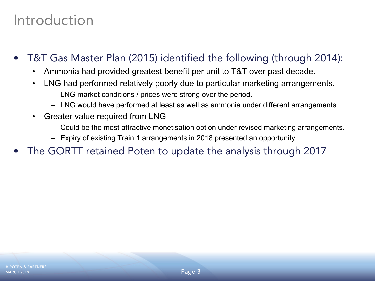## Introduction

- • T&T Gas Master Plan (2015) identified the following (through 2014):
	- •Ammonia had provided greatest benefit per unit to T&T over past decade.
	- • LNG had performed relatively poorly due to particular marketing arrangements.
		- LNG market conditions / prices were strong over the period.
		- LNG would have performed at least as well as ammonia under different arrangements.
	- $\bullet$  Greater value required from LNG
		- Could be the most attractive monetisation option under revised marketing arrangements.
		- Expiry of existing Train 1 arrangements in 2018 presented an opportunity.
- •The GORTT retained Poten to update the analysis through 2017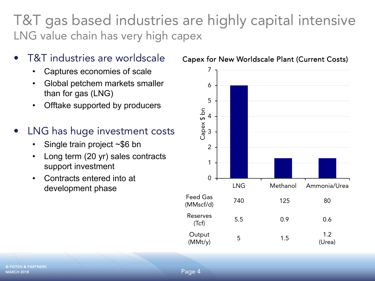### T&T gas based industries are highly capital intensive LNG value chain has very high capex

- • T&T industries are worldscale
	- •Captures economies of scale
	- • Global petchem markets smaller than for gas (LNG)
	- $\bullet$ Offtake supported by producers
- • LNG has huge investment costs
	- •Single train project ~\$6 bn
	- • Long term (20 yr) sales contracts support investment
	- • Contracts entered into at development phase



#### Capex for New Worldscale Plant (Current Costs)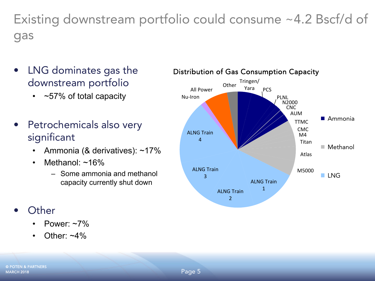Existing downstream portfolio could consume ~4.2 Bscf/d of gas

- $\bullet$  LNG dominates gas the downstream portfolio
	- ~57% of total capacity
- • Petrochemicals also very significant
	- •Ammonia (& derivatives): ~17%
	- • Methanol: ~16%
		- Some ammonia and methanol capacity currently shut down
- • Other
	- •Power: ~7%
	- •Other:  $~1\%$

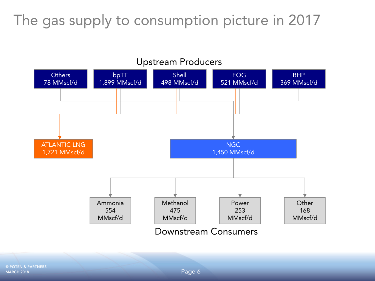## The gas supply to consumption picture in 2017

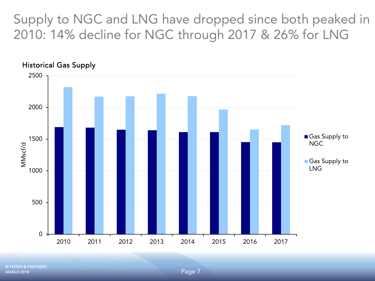Supply to NGC and LNG have dropped since both peaked in 2010: 14% decline for NGC through 2017 & 26% for LNG

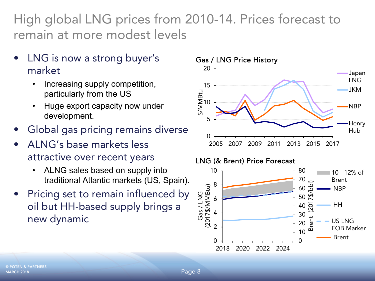High global LNG prices from 2010-14. Prices forecast to remain at more modest levels

- • LNG is now a strong buyer's market
	- • Increasing supply competition, particularly from the US
	- • Huge export capacity now under development.
- •Global gas pricing remains diverse
- • ALNG's base markets less attractive over recent years
	- • ALNG sales based on supply into traditional Atlantic markets (US, Spain).
- • Pricing set to remain influenced by oil but HH-based supply brings a new dynamic



#### LNG (& Brent) Price Forecast

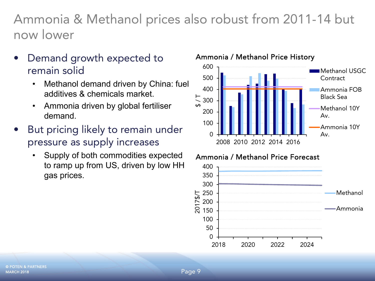Ammonia & Methanol prices also robust from 2011-14 but now lower

- • Demand growth expected to remain solid
	- • Methanol demand driven by China: fuel additives & chemicals market.
	- • Ammonia driven by global fertiliser demand.
- • But pricing likely to remain under pressure as supply increases
	- $\bullet$  Supply of both commodities expected to ramp up from US, driven by low HH gas prices.

#### Ammonia / Methanol Price History



#### Ammonia / Methanol Price Forecast

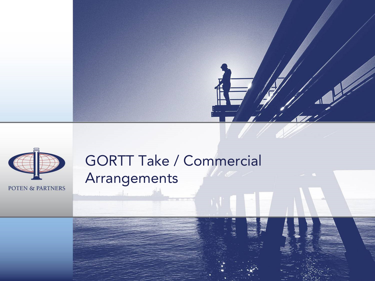



# GORTT Take / Commercial Arrangements

Page 10 and 10 and 10 and 10 and 10 and 10 and 10 and 10 and 10 and 10 and 10 and 10 and 10 and 10 and 10 and

md<sub>m</sub>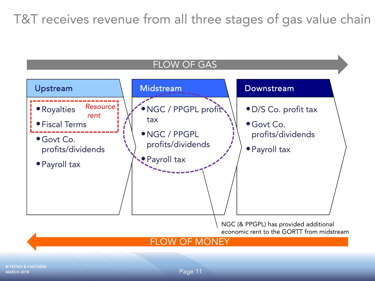T&T receives revenue from all three stages of gas value chain



**MARCH 2018** © POTEN & PARTNERS

Page 11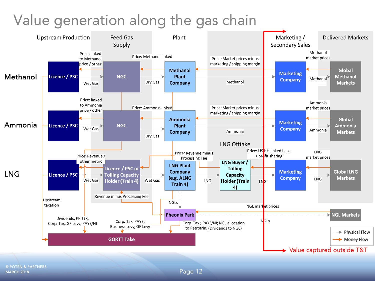## Value generation along the gas chain

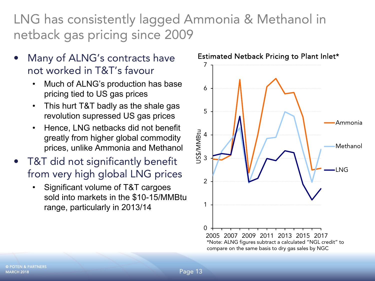LNG has consistently lagged Ammonia & Methanol in netback gas pricing since 2009

- • Many of ALNG's contracts have not worked in T&T's favour
	- • Much of ALNG's production has base pricing tied to US gas prices
	- $\bullet$  This hurt T&T badly as the shale gas revolution supressed US gas prices
	- • Hence, LNG netbacks did not benefit greatly from higher global commodity prices, unlike Ammonia and Methanol
- • T&T did not significantly benefit from very high global LNG prices
	- • Significant volume of T&T cargoes sold into markets in the \$10-15/MMBtu range, particularly in 2013/14



**MARCH 2018** © POTEN & PARTNERS

Page 13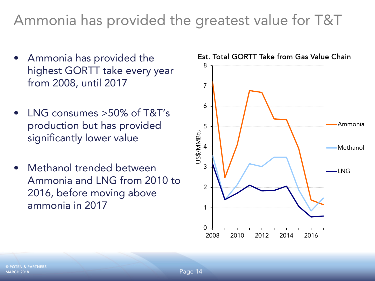# Ammonia has provided the greatest value for T&T

- Ammonia has provided the highest GORTT take every year from 2008, until 2017
- • LNG consumes >50% of T&T's production but has provided significantly lower value
- $\bullet$  Methanol trended between Ammonia and LNG from 2010 to 2016, before moving above ammonia in 2017



Est. Total GORTT Take from Gas Value Chain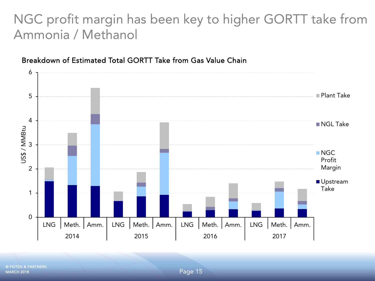### NGC profit margin has been key to higher GORTT take from Ammonia / Methanol



#### Breakdown of Estimated Total GORTT Take from Gas Value Chain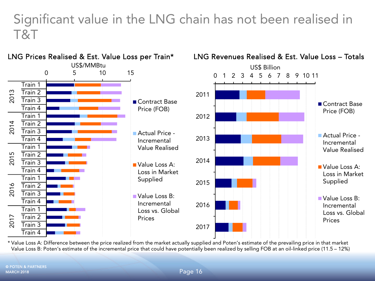### Significant value in the LNG chain has not been realised in T&T



\* Value Loss A: Difference between the price realized from the market actually supplied and Poten's estimate of the prevailing price in that market Value Loss B: Poten's estimate of the incremental price that could have potentially been realized by selling FOB at an oil-linked price (11.5 – 12%)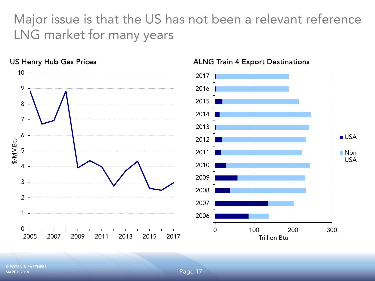Major issue is that the US has not been a relevant reference LNG market for many years



**MARCH 2018** © POTEN & PARTNERS

Page 17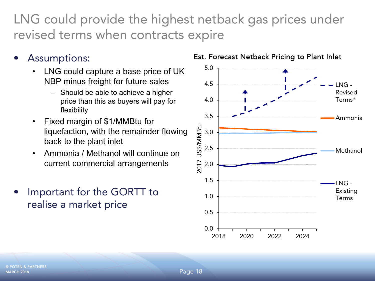LNG could provide the highest netback gas prices under revised terms when contracts expire

- •
	- • LNG could capture a base price of UK NBP minus freight for future sales
		- Should be able to achieve a higher price than this as buyers will pay for flexibility
	- • Fixed margin of \$1/MMBtu for liquefaction, with the remainder flowing back to the plant inlet
	- • Ammonia / Methanol will continue on current commercial arrangements
- • Important for the GORTT to realise a market price



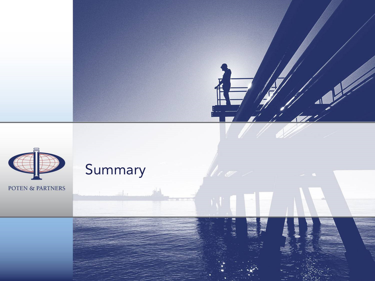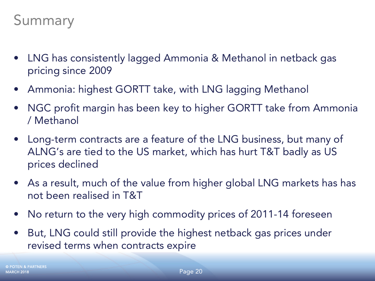- LNG has consistently lagged Ammonia & Methanol in netback gas pricing since 2009
- Ammonia: highest GORTT take, with LNG lagging Methanol
- $\bullet$  NGC profit margin has been key to higher GORTT take from Ammonia / Methanol
- Long-term contracts are a feature of the LNG business, but many of ALNG's are tied to the US market, which has hurt T&T badly as US prices declined
- As a result, much of the value from higher global LNG markets has has not been realised in T&T
- No return to the very high commodity prices of 2011-14 foreseen
- • But, LNG could still provide the highest netback gas prices under revised terms when contracts expire